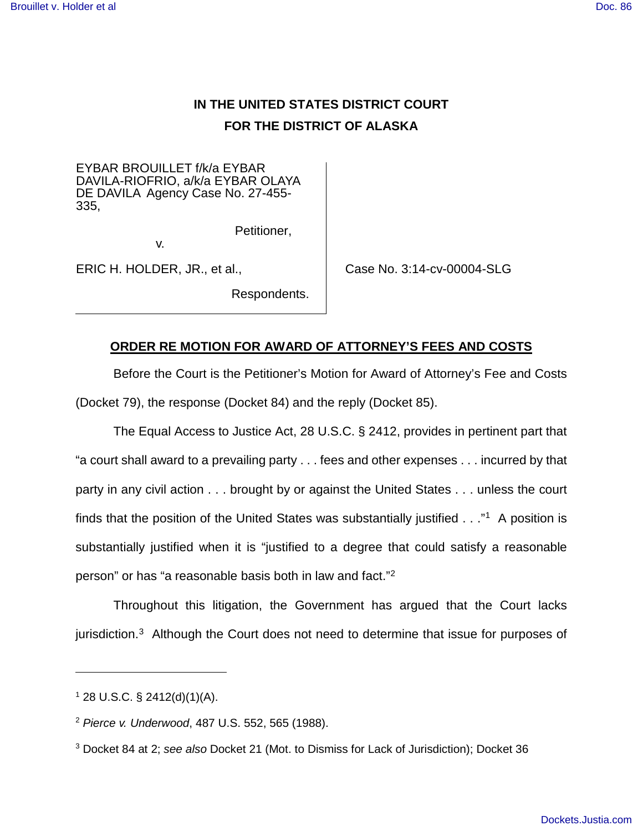## **IN THE UNITED STATES DISTRICT COURT FOR THE DISTRICT OF ALASKA**

EYBAR BROUILLET f/k/a EYBAR DAVILA-RIOFRIO, a/k/a EYBAR OLAYA DE DAVILA Agency Case No. 27-455- 335,

v.

ERIC H. HOLDER, JR., et al.,

Case No. 3:14-cv-00004-SLG

## **ORDER RE MOTION FOR AWARD OF ATTORNEY'S FEES AND COSTS**

Petitioner,

Respondents.

Before the Court is the Petitioner's Motion for Award of Attorney's Fee and Costs (Docket 79), the response (Docket 84) and the reply (Docket 85).

The Equal Access to Justice Act, 28 U.S.C. § 2412, provides in pertinent part that "a court shall award to a prevailing party . . . fees and other expenses . . . incurred by that party in any civil action . . . brought by or against the United States . . . unless the court finds that the position of the United States was substantially justified . . ."<sup>[1](#page-0-0)</sup> A position is substantially justified when it is "justified to a degree that could satisfy a reasonable person" or has "a reasonable basis both in law and fact."<sup>[2](#page-0-1)</sup>

Throughout this litigation, the Government has argued that the Court lacks jurisdiction.<sup>[3](#page-0-2)</sup> Although the Court does not need to determine that issue for purposes of

 $\overline{a}$ 

<span id="page-0-0"></span> $1$  28 U.S.C. § 2412(d)(1)(A).

<span id="page-0-1"></span><sup>2</sup> Pierce v. Underwood, 487 U.S. 552, 565 (1988).

<span id="page-0-2"></span><sup>3</sup> Docket 84 at 2; see also Docket 21 (Mot. to Dismiss for Lack of Jurisdiction); Docket 36